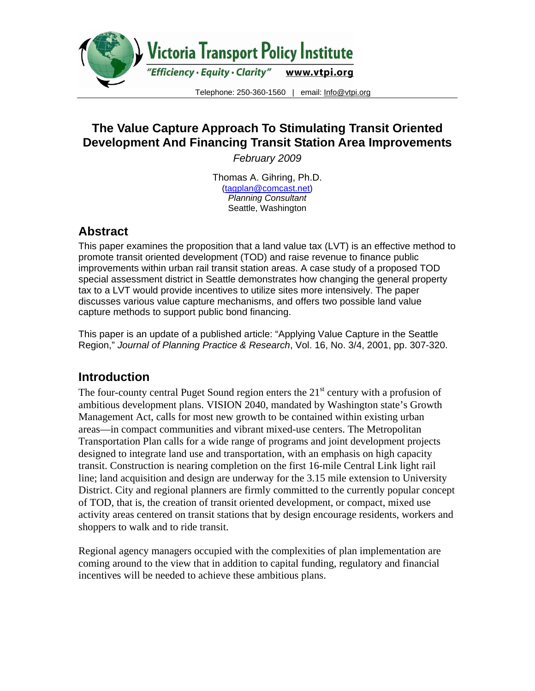

# **The Value Capture Approach To Stimulating Transit Oriented Development And Financing Transit Station Area Improvements**

*February 2009* 

Thomas A. Gihring, Ph.D. (tagplan@comcast.net) *Planning Consultant*  Seattle, Washington

## **Abstract**

This paper examines the proposition that a land value tax (LVT) is an effective method to promote transit oriented development (TOD) and raise revenue to finance public improvements within urban rail transit station areas. A case study of a proposed TOD special assessment district in Seattle demonstrates how changing the general property tax to a LVT would provide incentives to utilize sites more intensively. The paper discusses various value capture mechanisms, and offers two possible land value capture methods to support public bond financing.

This paper is an update of a published article: "Applying Value Capture in the Seattle Region," *Journal of Planning Practice & Research*, Vol. 16, No. 3/4, 2001, pp. 307-320.

# **Introduction**

The four-county central Puget Sound region enters the  $21<sup>st</sup>$  century with a profusion of ambitious development plans. VISION 2040, mandated by Washington state's Growth Management Act, calls for most new growth to be contained within existing urban areas—in compact communities and vibrant mixed-use centers. The Metropolitan Transportation Plan calls for a wide range of programs and joint development projects designed to integrate land use and transportation, with an emphasis on high capacity transit. Construction is nearing completion on the first 16-mile Central Link light rail line; land acquisition and design are underway for the 3.15 mile extension to University District. City and regional planners are firmly committed to the currently popular concept of TOD, that is, the creation of transit oriented development, or compact, mixed use activity areas centered on transit stations that by design encourage residents, workers and shoppers to walk and to ride transit.

Regional agency managers occupied with the complexities of plan implementation are coming around to the view that in addition to capital funding, regulatory and financial incentives will be needed to achieve these ambitious plans.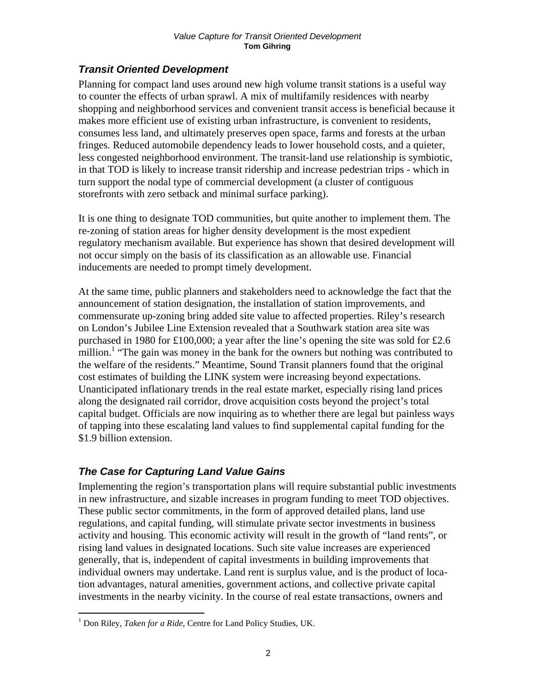## *Transit Oriented Development*

Planning for compact land uses around new high volume transit stations is a useful way to counter the effects of urban sprawl. A mix of multifamily residences with nearby shopping and neighborhood services and convenient transit access is beneficial because it makes more efficient use of existing urban infrastructure, is convenient to residents, consumes less land, and ultimately preserves open space, farms and forests at the urban fringes. Reduced automobile dependency leads to lower household costs, and a quieter, less congested neighborhood environment. The transit-land use relationship is symbiotic, in that TOD is likely to increase transit ridership and increase pedestrian trips - which in turn support the nodal type of commercial development (a cluster of contiguous storefronts with zero setback and minimal surface parking).

It is one thing to designate TOD communities, but quite another to implement them. The re-zoning of station areas for higher density development is the most expedient regulatory mechanism available. But experience has shown that desired development will not occur simply on the basis of its classification as an allowable use. Financial inducements are needed to prompt timely development.

At the same time, public planners and stakeholders need to acknowledge the fact that the announcement of station designation, the installation of station improvements, and commensurate up-zoning bring added site value to affected properties. Riley's research on London's Jubilee Line Extension revealed that a Southwark station area site was purchased in 1980 for £100,000; a year after the line's opening the site was sold for £2.6 million.<sup>1</sup> "The gain was money in the bank for the owners but nothing was contributed to the welfare of the residents." Meantime, Sound Transit planners found that the original cost estimates of building the LINK system were increasing beyond expectations. Unanticipated inflationary trends in the real estate market, especially rising land prices along the designated rail corridor, drove acquisition costs beyond the project's total capital budget. Officials are now inquiring as to whether there are legal but painless ways of tapping into these escalating land values to find supplemental capital funding for the \$1.9 billion extension.

## *The Case for Capturing Land Value Gains*

Implementing the region's transportation plans will require substantial public investments in new infrastructure, and sizable increases in program funding to meet TOD objectives. These public sector commitments, in the form of approved detailed plans, land use regulations, and capital funding, will stimulate private sector investments in business activity and housing. This economic activity will result in the growth of "land rents", or rising land values in designated locations. Such site value increases are experienced generally, that is, independent of capital investments in building improvements that individual owners may undertake. Land rent is surplus value, and is the product of location advantages, natural amenities, government actions, and collective private capital investments in the nearby vicinity. In the course of real estate transactions, owners and

 $\overline{a}$ <sup>1</sup> Don Riley, *Taken for a Ride*, Centre for Land Policy Studies, UK.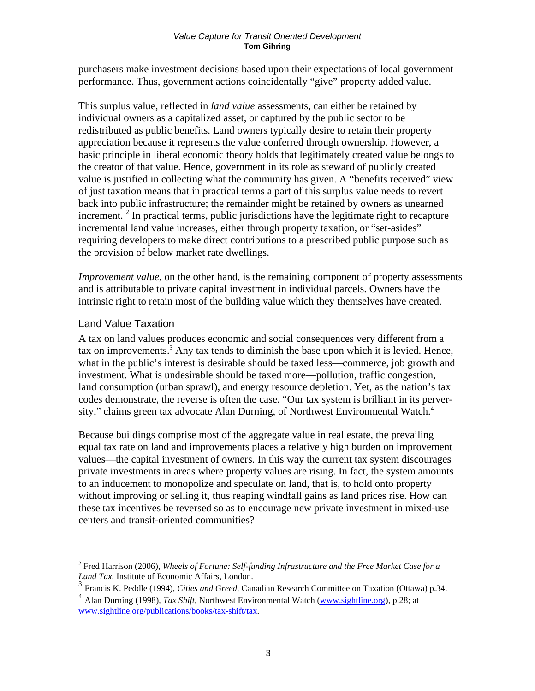purchasers make investment decisions based upon their expectations of local government performance. Thus, government actions coincidentally "give" property added value.

This surplus value, reflected in *land value* assessments, can either be retained by individual owners as a capitalized asset, or captured by the public sector to be redistributed as public benefits. Land owners typically desire to retain their property appreciation because it represents the value conferred through ownership. However, a basic principle in liberal economic theory holds that legitimately created value belongs to the creator of that value. Hence, government in its role as steward of publicly created value is justified in collecting what the community has given. A "benefits received" view of just taxation means that in practical terms a part of this surplus value needs to revert back into public infrastructure; the remainder might be retained by owners as unearned increment.  $2$  In practical terms, public jurisdictions have the legitimate right to recapture incremental land value increases, either through property taxation, or "set-asides" requiring developers to make direct contributions to a prescribed public purpose such as the provision of below market rate dwellings.

*Improvement value*, on the other hand, is the remaining component of property assessments and is attributable to private capital investment in individual parcels. Owners have the intrinsic right to retain most of the building value which they themselves have created.

### Land Value Taxation

 $\overline{a}$ 

A tax on land values produces economic and social consequences very different from a tax on improvements.<sup>3</sup> Any tax tends to diminish the base upon which it is levied. Hence, what in the public's interest is desirable should be taxed less—commerce, job growth and investment. What is undesirable should be taxed more—pollution, traffic congestion, land consumption (urban sprawl), and energy resource depletion. Yet, as the nation's tax codes demonstrate, the reverse is often the case. "Our tax system is brilliant in its perversity," claims green tax advocate Alan Durning, of Northwest Environmental Watch.<sup>4</sup>

Because buildings comprise most of the aggregate value in real estate, the prevailing equal tax rate on land and improvements places a relatively high burden on improvement values—the capital investment of owners. In this way the current tax system discourages private investments in areas where property values are rising. In fact, the system amounts to an inducement to monopolize and speculate on land, that is, to hold onto property without improving or selling it, thus reaping windfall gains as land prices rise. How can these tax incentives be reversed so as to encourage new private investment in mixed-use centers and transit-oriented communities?

<sup>&</sup>lt;sup>2</sup> Fred Harrison (2006), *Wheels of Fortune: Self-funding Infrastructure and the Free Market Case for a Land Tax*, Institute of Economic Affairs, London.

<sup>3</sup> Francis K. Peddle (1994), *Cities and Greed*, Canadian Research Committee on Taxation (Ottawa) p.34.

<sup>4</sup> Alan Durning (1998), *Tax Shift*, Northwest Environmental Watch (www.sightline.org), p.28; at www.sightline.org/publications/books/tax-shift/tax.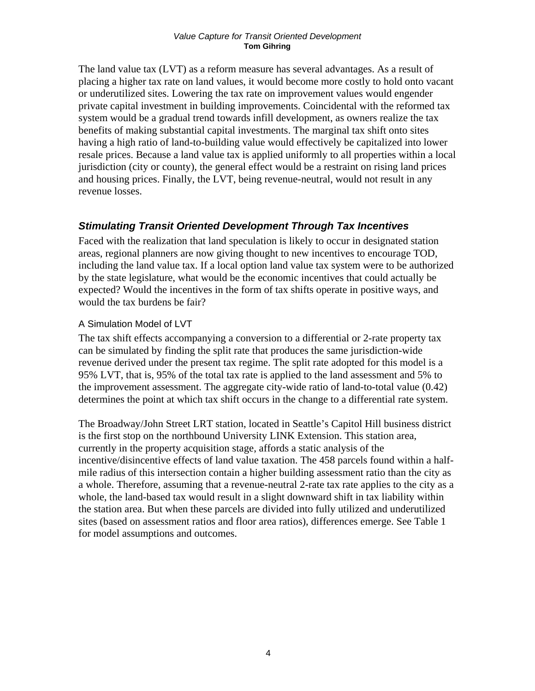The land value tax (LVT) as a reform measure has several advantages. As a result of placing a higher tax rate on land values, it would become more costly to hold onto vacant or underutilized sites. Lowering the tax rate on improvement values would engender private capital investment in building improvements. Coincidental with the reformed tax system would be a gradual trend towards infill development, as owners realize the tax benefits of making substantial capital investments. The marginal tax shift onto sites having a high ratio of land-to-building value would effectively be capitalized into lower resale prices. Because a land value tax is applied uniformly to all properties within a local jurisdiction (city or county), the general effect would be a restraint on rising land prices and housing prices. Finally, the LVT, being revenue-neutral, would not result in any revenue losses.

### *Stimulating Transit Oriented Development Through Tax Incentives*

Faced with the realization that land speculation is likely to occur in designated station areas, regional planners are now giving thought to new incentives to encourage TOD, including the land value tax. If a local option land value tax system were to be authorized by the state legislature, what would be the economic incentives that could actually be expected? Would the incentives in the form of tax shifts operate in positive ways, and would the tax burdens be fair?

### A Simulation Model of LVT

The tax shift effects accompanying a conversion to a differential or 2-rate property tax can be simulated by finding the split rate that produces the same jurisdiction-wide revenue derived under the present tax regime. The split rate adopted for this model is a 95% LVT, that is, 95% of the total tax rate is applied to the land assessment and 5% to the improvement assessment. The aggregate city-wide ratio of land-to-total value (0.42) determines the point at which tax shift occurs in the change to a differential rate system.

The Broadway/John Street LRT station, located in Seattle's Capitol Hill business district is the first stop on the northbound University LINK Extension. This station area, currently in the property acquisition stage, affords a static analysis of the incentive/disincentive effects of land value taxation. The 458 parcels found within a halfmile radius of this intersection contain a higher building assessment ratio than the city as a whole. Therefore, assuming that a revenue-neutral 2-rate tax rate applies to the city as a whole, the land-based tax would result in a slight downward shift in tax liability within the station area. But when these parcels are divided into fully utilized and underutilized sites (based on assessment ratios and floor area ratios), differences emerge. See Table 1 for model assumptions and outcomes.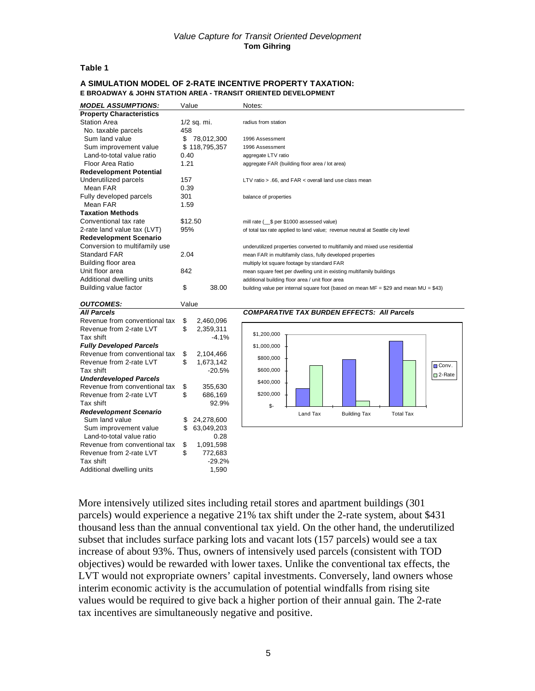### **Table 1**

#### **A SIMULATION MODEL OF 2-RATE INCENTIVE PROPERTY TAXATION: E BROADWAY & JOHN STATION AREA - TRANSIT ORIENTED DEVELOPMENT**

| <b>MODEL ASSUMPTIONS:</b>       | Value            |            | Notes:                                                                               |
|---------------------------------|------------------|------------|--------------------------------------------------------------------------------------|
| <b>Property Characteristics</b> |                  |            |                                                                                      |
| <b>Station Area</b>             | 1/2 sq. mi.      |            | radius from station                                                                  |
| No. taxable parcels             | 458              |            |                                                                                      |
| Sum land value                  | \$<br>78,012,300 |            | 1996 Assessment                                                                      |
| Sum improvement value           | \$118,795,357    |            | 1996 Assessment                                                                      |
| Land-to-total value ratio       | 0.40             |            | aggregate LTV ratio                                                                  |
| Floor Area Ratio                | 1.21             |            | aggregate FAR (building floor area / lot area)                                       |
| <b>Redevelopment Potential</b>  |                  |            |                                                                                      |
| Underutilized parcels           | 157              |            | LTV ratio > .66, and FAR < overall land use class mean                               |
| Mean FAR                        | 0.39             |            |                                                                                      |
| Fully developed parcels         | 301              |            | balance of properties                                                                |
| Mean FAR                        | 1.59             |            |                                                                                      |
| <b>Taxation Methods</b>         |                  |            |                                                                                      |
| Conventional tax rate           | \$12.50          |            | mill rate ( \$ per \$1000 assessed value)                                            |
| 2-rate land value tax (LVT)     | 95%              |            | of total tax rate applied to land value; revenue neutral at Seattle city level       |
| <b>Redevelopment Scenario</b>   |                  |            |                                                                                      |
| Conversion to multifamily use   |                  |            | underutilized properties converted to multifamily and mixed use residential          |
| <b>Standard FAR</b>             | 2.04             |            | mean FAR in multifamily class, fully developed properties                            |
| Building floor area             |                  |            | multiply lot square footage by standard FAR                                          |
| Unit floor area                 | 842              |            | mean square feet per dwelling unit in existing multifamily buildings                 |
| Additional dwelling units       |                  |            | additional building floor area / unit floor area                                     |
| Building value factor           | \$               | 38.00      | building value per internal square foot (based on mean MF = \$29 and mean MU = \$43) |
|                                 |                  |            |                                                                                      |
| <b>OUTCOMES:</b>                | Value            |            |                                                                                      |
| <b>All Parcels</b>              |                  |            | <b>COMPARATIVE TAX BURDEN EFFECTS: All Parcels</b>                                   |
| Revenue from conventional tax   | \$               | 2,460,096  |                                                                                      |
| Revenue from 2-rate LVT         | \$               | 2,359,311  |                                                                                      |
| Tax shift                       |                  | $-4.1%$    | \$1,200,000                                                                          |
| <b>Fully Developed Parcels</b>  |                  |            | \$1,000,000                                                                          |
| Revenue from conventional tax   | \$               | 2,104,466  |                                                                                      |
| Revenue from 2-rate LVT         | \$               | 1,673,142  | \$800,000<br><b>□</b> Conv.                                                          |
| Tax shift                       |                  | $-20.5%$   | \$600,000                                                                            |
| <b>Underdeveloped Parcels</b>   |                  |            | □ 2-Rate<br>\$400,000                                                                |
| Revenue from conventional tax   | \$               | 355,630    |                                                                                      |
| Revenue from 2-rate LVT         | \$               | 686,169    | \$200,000                                                                            |
| Tax shift                       |                  | 92.9%      | $S-$                                                                                 |
| <b>Redevelopment Scenario</b>   |                  |            | Land Tax<br><b>Building Tax</b><br><b>Total Tax</b>                                  |
| Sum land value                  | \$               | 24,278,600 |                                                                                      |
| Sum improvement value           | \$               | 63,049,203 |                                                                                      |
| Land-to-total value ratio       |                  | 0.28       |                                                                                      |
| Revenue from conventional tax   | \$               | 1,091,598  |                                                                                      |
| Revenue from 2-rate LVT         | \$               | 772,683    |                                                                                      |
| Tax shift                       |                  | $-29.2%$   |                                                                                      |
| Additional dwelling units       |                  | 1,590      |                                                                                      |

More intensively utilized sites including retail stores and apartment buildings (301 parcels) would experience a negative 21% tax shift under the 2-rate system, about \$431 thousand less than the annual conventional tax yield. On the other hand, the underutilized subset that includes surface parking lots and vacant lots (157 parcels) would see a tax increase of about 93%. Thus, owners of intensively used parcels (consistent with TOD objectives) would be rewarded with lower taxes. Unlike the conventional tax effects, the LVT would not expropriate owners' capital investments. Conversely, land owners whose interim economic activity is the accumulation of potential windfalls from rising site values would be required to give back a higher portion of their annual gain. The 2-rate tax incentives are simultaneously negative and positive.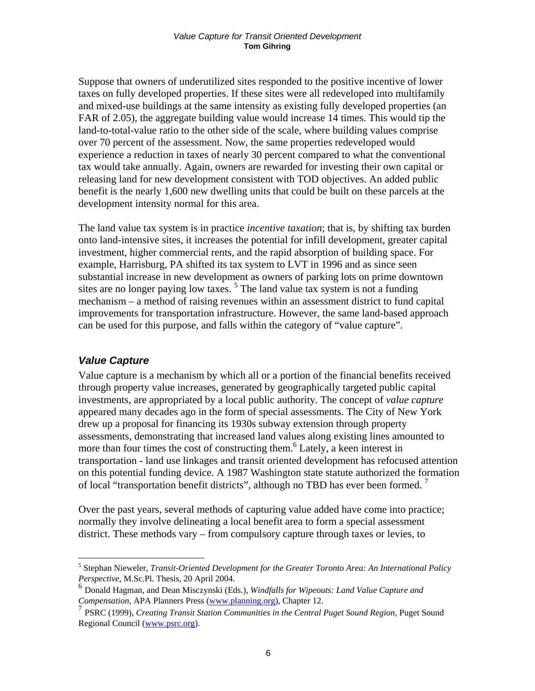Suppose that owners of underutilized sites responded to the positive incentive of lower taxes on fully developed properties. If these sites were all redeveloped into multifamily and mixed-use buildings at the same intensity as existing fully developed properties (an FAR of 2.05), the aggregate building value would increase 14 times. This would tip the land-to-total-value ratio to the other side of the scale, where building values comprise over 70 percent of the assessment. Now, the same properties redeveloped would experience a reduction in taxes of nearly 30 percent compared to what the conventional tax would take annually. Again, owners are rewarded for investing their own capital or releasing land for new development consistent with TOD objectives. An added public benefit is the nearly 1,600 new dwelling units that could be built on these parcels at the development intensity normal for this area.

The land value tax system is in practice *incentive taxation*; that is, by shifting tax burden onto land-intensive sites, it increases the potential for infill development, greater capital investment, higher commercial rents, and the rapid absorption of building space. For example, Harrisburg, PA shifted its tax system to LVT in 1996 and as since seen substantial increase in new development as owners of parking lots on prime downtown sites are no longer paying low taxes.<sup>5</sup> The land value tax system is not a funding mechanism – a method of raising revenues within an assessment district to fund capital improvements for transportation infrastructure. However, the same land-based approach can be used for this purpose, and falls within the category of "value capture".

### *Value Capture*

 $\overline{a}$ 

Value capture is a mechanism by which all or a portion of the financial benefits received through property value increases, generated by geographically targeted public capital investments, are appropriated by a local public authority. The concept of *value capture* appeared many decades ago in the form of special assessments. The City of New York drew up a proposal for financing its 1930s subway extension through property assessments, demonstrating that increased land values along existing lines amounted to more than four times the cost of constructing them.<sup>6</sup> Lately, a keen interest in transportation - land use linkages and transit oriented development has refocused attention on this potential funding device. A 1987 Washington state statute authorized the formation of local "transportation benefit districts", although no TBD has ever been formed.<sup>7</sup>

Over the past years, several methods of capturing value added have come into practice; normally they involve delineating a local benefit area to form a special assessment district. These methods vary – from compulsory capture through taxes or levies, to

<sup>5</sup> Stephan Nieweler, *Transit-Oriented Development for the Greater Toronto Area: An International Policy Perspective*, M.Sc.Pl. Thesis, 20 April 2004.

<sup>6</sup> Donald Hagman, and Dean Misczynski (Eds.), *Windfalls for Wipeouts: Land Value Capture and Compensation*, APA Planners Press (www.planning.org), Chapter 12.

<sup>7</sup> PSRC (1999), *Creating Transit Station Communities in the Central Puget Sound Region*, Puget Sound Regional Council (www.psrc.org).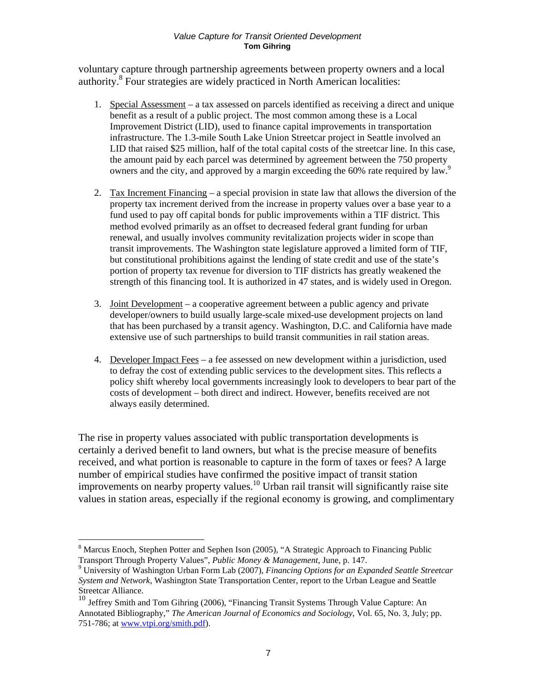voluntary capture through partnership agreements between property owners and a local authority.8 Four strategies are widely practiced in North American localities:

- 1. Special Assessment a tax assessed on parcels identified as receiving a direct and unique benefit as a result of a public project. The most common among these is a Local Improvement District (LID), used to finance capital improvements in transportation infrastructure. The 1.3-mile South Lake Union Streetcar project in Seattle involved an LID that raised \$25 million, half of the total capital costs of the streetcar line. In this case, the amount paid by each parcel was determined by agreement between the 750 property owners and the city, and approved by a margin exceeding the 60% rate required by law.<sup>9</sup>
- 2. Tax Increment Financing a special provision in state law that allows the diversion of the property tax increment derived from the increase in property values over a base year to a fund used to pay off capital bonds for public improvements within a TIF district. This method evolved primarily as an offset to decreased federal grant funding for urban renewal, and usually involves community revitalization projects wider in scope than transit improvements. The Washington state legislature approved a limited form of TIF, but constitutional prohibitions against the lending of state credit and use of the state's portion of property tax revenue for diversion to TIF districts has greatly weakened the strength of this financing tool. It is authorized in 47 states, and is widely used in Oregon.
- 3. Joint Development a cooperative agreement between a public agency and private developer/owners to build usually large-scale mixed-use development projects on land that has been purchased by a transit agency. Washington, D.C. and California have made extensive use of such partnerships to build transit communities in rail station areas.
- 4. Developer Impact Fees a fee assessed on new development within a jurisdiction, used to defray the cost of extending public services to the development sites. This reflects a policy shift whereby local governments increasingly look to developers to bear part of the costs of development – both direct and indirect. However, benefits received are not always easily determined.

The rise in property values associated with public transportation developments is certainly a derived benefit to land owners, but what is the precise measure of benefits received, and what portion is reasonable to capture in the form of taxes or fees? A large number of empirical studies have confirmed the positive impact of transit station improvements on nearby property values.<sup>10</sup> Urban rail transit will significantly raise site values in station areas, especially if the regional economy is growing, and complimentary

 $\overline{a}$ 

<sup>&</sup>lt;sup>8</sup> Marcus Enoch, Stephen Potter and Sephen Ison (2005), "A Strategic Approach to Financing Public Transport Through Property Values", *Public Money & Management*, June, p. 147. 9

University of Washington Urban Form Lab (2007), *Financing Options for an Expanded Seattle Streetcar System and Network*, Washington State Transportation Center, report to the Urban League and Seattle Streetcar Alliance.

<sup>10</sup> Jeffrey Smith and Tom Gihring (2006), "Financing Transit Systems Through Value Capture: An Annotated Bibliography," *The American Journal of Economics and Sociology*, Vol. 65, No. 3, July; pp. 751-786; at www.vtpi.org/smith.pdf).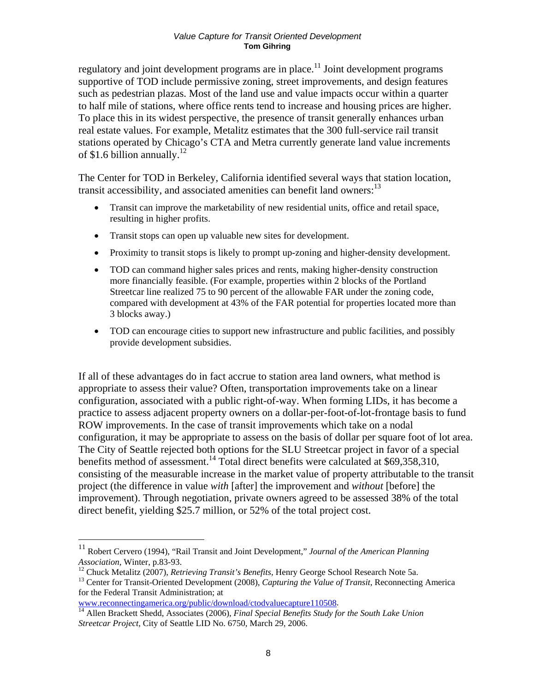regulatory and joint development programs are in place.<sup>11</sup> Joint development programs supportive of TOD include permissive zoning, street improvements, and design features such as pedestrian plazas. Most of the land use and value impacts occur within a quarter to half mile of stations, where office rents tend to increase and housing prices are higher. To place this in its widest perspective, the presence of transit generally enhances urban real estate values. For example, Metalitz estimates that the 300 full-service rail transit stations operated by Chicago's CTA and Metra currently generate land value increments of \$1.6 billion annually.<sup>12</sup>

The Center for TOD in Berkeley, California identified several ways that station location, transit accessibility, and associated amenities can benefit land owners:<sup>13</sup>

- Transit can improve the marketability of new residential units, office and retail space, resulting in higher profits.
- Transit stops can open up valuable new sites for development.
- Proximity to transit stops is likely to prompt up-zoning and higher-density development.
- TOD can command higher sales prices and rents, making higher-density construction more financially feasible. (For example, properties within 2 blocks of the Portland Streetcar line realized 75 to 90 percent of the allowable FAR under the zoning code, compared with development at 43% of the FAR potential for properties located more than 3 blocks away.)
- TOD can encourage cities to support new infrastructure and public facilities, and possibly provide development subsidies.

If all of these advantages do in fact accrue to station area land owners, what method is appropriate to assess their value? Often, transportation improvements take on a linear configuration, associated with a public right-of-way. When forming LIDs, it has become a practice to assess adjacent property owners on a dollar-per-foot-of-lot-frontage basis to fund ROW improvements. In the case of transit improvements which take on a nodal configuration, it may be appropriate to assess on the basis of dollar per square foot of lot area. The City of Seattle rejected both options for the SLU Streetcar project in favor of a special benefits method of assessment.<sup>14</sup> Total direct benefits were calculated at  $$69,358,310$ , consisting of the measurable increase in the market value of property attributable to the transit project (the difference in value *with* [after] the improvement and *without* [before] the improvement). Through negotiation, private owners agreed to be assessed 38% of the total direct benefit, yielding \$25.7 million, or 52% of the total project cost.

 $\overline{a}$ 

<sup>11</sup> Robert Cervero (1994), "Rail Transit and Joint Development," *Journal of the American Planning*  Association, Winter, p.83-93.<br><sup>12</sup> Chuck Metalitz (2007), *Retrieving Transit's Benefits*, Henry George School Research Note 5a.<br><sup>13</sup> Center for Transit-Oriented Development (2008), *Capturing the Value of Transit*, Reconn

for the Federal Transit Administration; at

www.reconnectingamerica.org/public/download/ctodvaluecapture110508.<br><sup>14</sup> Allen Brackett Shedd, Associates (2006), *Final Special Benefits Study for the South Lake Union Streetcar Project*, City of Seattle LID No. 6750, March 29, 2006.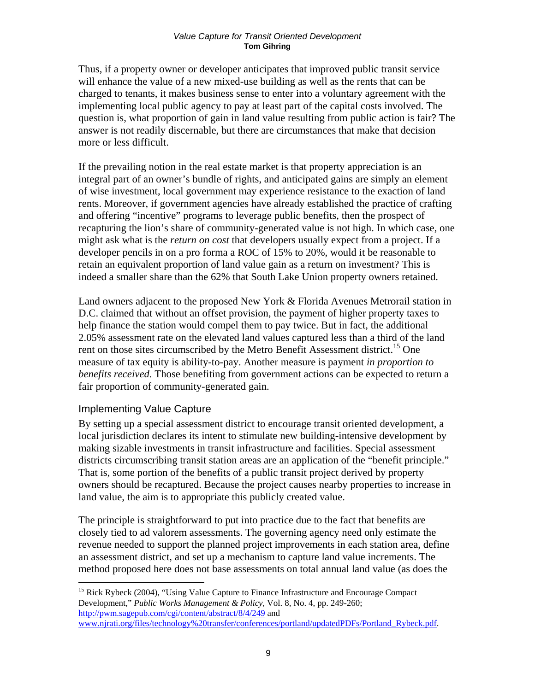Thus, if a property owner or developer anticipates that improved public transit service will enhance the value of a new mixed-use building as well as the rents that can be charged to tenants, it makes business sense to enter into a voluntary agreement with the implementing local public agency to pay at least part of the capital costs involved. The question is, what proportion of gain in land value resulting from public action is fair? The answer is not readily discernable, but there are circumstances that make that decision more or less difficult.

If the prevailing notion in the real estate market is that property appreciation is an integral part of an owner's bundle of rights, and anticipated gains are simply an element of wise investment, local government may experience resistance to the exaction of land rents. Moreover, if government agencies have already established the practice of crafting and offering "incentive" programs to leverage public benefits, then the prospect of recapturing the lion's share of community-generated value is not high. In which case, one might ask what is the *return on cost* that developers usually expect from a project. If a developer pencils in on a pro forma a ROC of 15% to 20%, would it be reasonable to retain an equivalent proportion of land value gain as a return on investment? This is indeed a smaller share than the 62% that South Lake Union property owners retained.

Land owners adjacent to the proposed New York & Florida Avenues Metrorail station in D.C. claimed that without an offset provision, the payment of higher property taxes to help finance the station would compel them to pay twice. But in fact, the additional 2.05% assessment rate on the elevated land values captured less than a third of the land rent on those sites circumscribed by the Metro Benefit Assessment district.<sup>15</sup> One measure of tax equity is ability-to-pay. Another measure is payment *in proportion to benefits received*. Those benefiting from government actions can be expected to return a fair proportion of community-generated gain.

### Implementing Value Capture

 $\overline{a}$ 

By setting up a special assessment district to encourage transit oriented development, a local jurisdiction declares its intent to stimulate new building-intensive development by making sizable investments in transit infrastructure and facilities. Special assessment districts circumscribing transit station areas are an application of the "benefit principle." That is, some portion of the benefits of a public transit project derived by property owners should be recaptured. Because the project causes nearby properties to increase in land value, the aim is to appropriate this publicly created value.

The principle is straightforward to put into practice due to the fact that benefits are closely tied to ad valorem assessments. The governing agency need only estimate the revenue needed to support the planned project improvements in each station area, define an assessment district, and set up a mechanism to capture land value increments. The method proposed here does not base assessments on total annual land value (as does the

<sup>&</sup>lt;sup>15</sup> Rick Rybeck (2004), "Using Value Capture to Finance Infrastructure and Encourage Compact Development," *Public Works Management & Policy*, Vol. 8, No. 4, pp. 249-260; http://pwm.sagepub.com/cgi/content/abstract/8/4/249 and

www.njrati.org/files/technology%20transfer/conferences/portland/updatedPDFs/Portland\_Rybeck.pdf.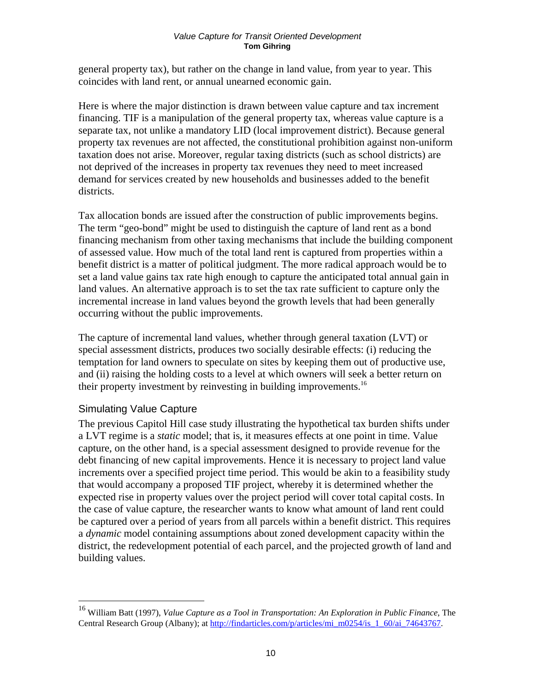general property tax), but rather on the change in land value, from year to year. This coincides with land rent, or annual unearned economic gain.

Here is where the major distinction is drawn between value capture and tax increment financing. TIF is a manipulation of the general property tax, whereas value capture is a separate tax, not unlike a mandatory LID (local improvement district). Because general property tax revenues are not affected, the constitutional prohibition against non-uniform taxation does not arise. Moreover, regular taxing districts (such as school districts) are not deprived of the increases in property tax revenues they need to meet increased demand for services created by new households and businesses added to the benefit districts.

Tax allocation bonds are issued after the construction of public improvements begins. The term "geo-bond" might be used to distinguish the capture of land rent as a bond financing mechanism from other taxing mechanisms that include the building component of assessed value. How much of the total land rent is captured from properties within a benefit district is a matter of political judgment. The more radical approach would be to set a land value gains tax rate high enough to capture the anticipated total annual gain in land values. An alternative approach is to set the tax rate sufficient to capture only the incremental increase in land values beyond the growth levels that had been generally occurring without the public improvements.

The capture of incremental land values, whether through general taxation (LVT) or special assessment districts, produces two socially desirable effects: (i) reducing the temptation for land owners to speculate on sites by keeping them out of productive use, and (ii) raising the holding costs to a level at which owners will seek a better return on their property investment by reinvesting in building improvements.<sup>16</sup>

### Simulating Value Capture

 $\overline{a}$ 

The previous Capitol Hill case study illustrating the hypothetical tax burden shifts under a LVT regime is a *static* model; that is, it measures effects at one point in time. Value capture, on the other hand, is a special assessment designed to provide revenue for the debt financing of new capital improvements. Hence it is necessary to project land value increments over a specified project time period. This would be akin to a feasibility study that would accompany a proposed TIF project, whereby it is determined whether the expected rise in property values over the project period will cover total capital costs. In the case of value capture, the researcher wants to know what amount of land rent could be captured over a period of years from all parcels within a benefit district. This requires a *dynamic* model containing assumptions about zoned development capacity within the district, the redevelopment potential of each parcel, and the projected growth of land and building values.

<sup>16</sup> William Batt (1997), *Value Capture as a Tool in Transportation: An Exploration in Public Finance*, The Central Research Group (Albany); at http://findarticles.com/p/articles/mi\_m0254/is\_1\_60/ai\_74643767.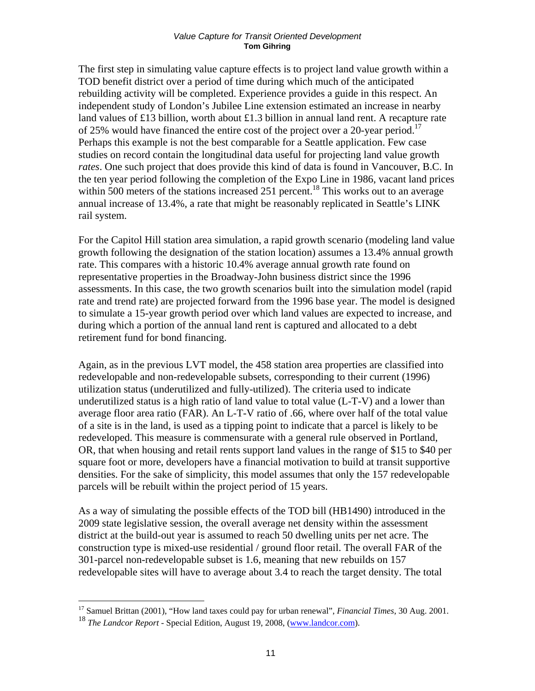The first step in simulating value capture effects is to project land value growth within a TOD benefit district over a period of time during which much of the anticipated rebuilding activity will be completed. Experience provides a guide in this respect. An independent study of London's Jubilee Line extension estimated an increase in nearby land values of £13 billion, worth about £1.3 billion in annual land rent. A recapture rate of 25% would have financed the entire cost of the project over a 20-year period.<sup>17</sup> Perhaps this example is not the best comparable for a Seattle application. Few case studies on record contain the longitudinal data useful for projecting land value growth *rates*. One such project that does provide this kind of data is found in Vancouver, B.C. In the ten year period following the completion of the Expo Line in 1986, vacant land prices within 500 meters of the stations increased 251 percent.<sup>18</sup> This works out to an average annual increase of 13.4%, a rate that might be reasonably replicated in Seattle's LINK rail system.

For the Capitol Hill station area simulation, a rapid growth scenario (modeling land value growth following the designation of the station location) assumes a 13.4% annual growth rate. This compares with a historic 10.4% average annual growth rate found on representative properties in the Broadway-John business district since the 1996 assessments. In this case, the two growth scenarios built into the simulation model (rapid rate and trend rate) are projected forward from the 1996 base year. The model is designed to simulate a 15-year growth period over which land values are expected to increase, and during which a portion of the annual land rent is captured and allocated to a debt retirement fund for bond financing.

Again, as in the previous LVT model, the 458 station area properties are classified into redevelopable and non-redevelopable subsets, corresponding to their current (1996) utilization status (underutilized and fully-utilized). The criteria used to indicate underutilized status is a high ratio of land value to total value (L-T-V) and a lower than average floor area ratio (FAR). An L-T-V ratio of .66, where over half of the total value of a site is in the land, is used as a tipping point to indicate that a parcel is likely to be redeveloped. This measure is commensurate with a general rule observed in Portland, OR, that when housing and retail rents support land values in the range of \$15 to \$40 per square foot or more, developers have a financial motivation to build at transit supportive densities. For the sake of simplicity, this model assumes that only the 157 redevelopable parcels will be rebuilt within the project period of 15 years.

As a way of simulating the possible effects of the TOD bill (HB1490) introduced in the 2009 state legislative session, the overall average net density within the assessment district at the build-out year is assumed to reach 50 dwelling units per net acre. The construction type is mixed-use residential / ground floor retail. The overall FAR of the 301-parcel non-redevelopable subset is 1.6, meaning that new rebuilds on 157 redevelopable sites will have to average about 3.4 to reach the target density. The total

 $\overline{a}$ 

<sup>17</sup> Samuel Brittan (2001), "How land taxes could pay for urban renewal", *Financial Times*, 30 Aug. 2001. <sup>18</sup> *The Landcor Report* - Special Edition, August 19, 2008, (www.landcor.com).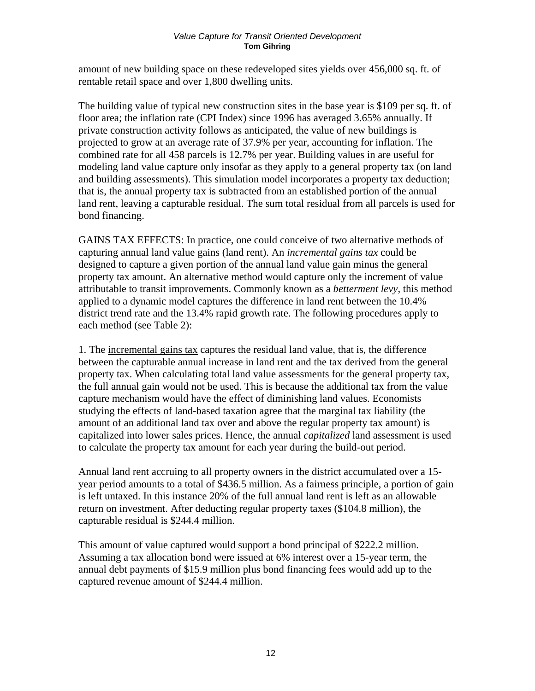amount of new building space on these redeveloped sites yields over 456,000 sq. ft. of rentable retail space and over 1,800 dwelling units.

The building value of typical new construction sites in the base year is \$109 per sq. ft. of floor area; the inflation rate (CPI Index) since 1996 has averaged 3.65% annually. If private construction activity follows as anticipated, the value of new buildings is projected to grow at an average rate of 37.9% per year, accounting for inflation. The combined rate for all 458 parcels is 12.7% per year. Building values in are useful for modeling land value capture only insofar as they apply to a general property tax (on land and building assessments). This simulation model incorporates a property tax deduction; that is, the annual property tax is subtracted from an established portion of the annual land rent, leaving a capturable residual. The sum total residual from all parcels is used for bond financing.

GAINS TAX EFFECTS: In practice, one could conceive of two alternative methods of capturing annual land value gains (land rent). An *incremental gains tax* could be designed to capture a given portion of the annual land value gain minus the general property tax amount. An alternative method would capture only the increment of value attributable to transit improvements. Commonly known as a *betterment levy*, this method applied to a dynamic model captures the difference in land rent between the 10.4% district trend rate and the 13.4% rapid growth rate. The following procedures apply to each method (see Table 2):

1. The incremental gains tax captures the residual land value, that is, the difference between the capturable annual increase in land rent and the tax derived from the general property tax. When calculating total land value assessments for the general property tax, the full annual gain would not be used. This is because the additional tax from the value capture mechanism would have the effect of diminishing land values. Economists studying the effects of land-based taxation agree that the marginal tax liability (the amount of an additional land tax over and above the regular property tax amount) is capitalized into lower sales prices. Hence, the annual *capitalized* land assessment is used to calculate the property tax amount for each year during the build-out period.

Annual land rent accruing to all property owners in the district accumulated over a 15 year period amounts to a total of \$436.5 million. As a fairness principle, a portion of gain is left untaxed. In this instance 20% of the full annual land rent is left as an allowable return on investment. After deducting regular property taxes (\$104.8 million), the capturable residual is \$244.4 million.

This amount of value captured would support a bond principal of \$222.2 million. Assuming a tax allocation bond were issued at 6% interest over a 15-year term, the annual debt payments of \$15.9 million plus bond financing fees would add up to the captured revenue amount of \$244.4 million.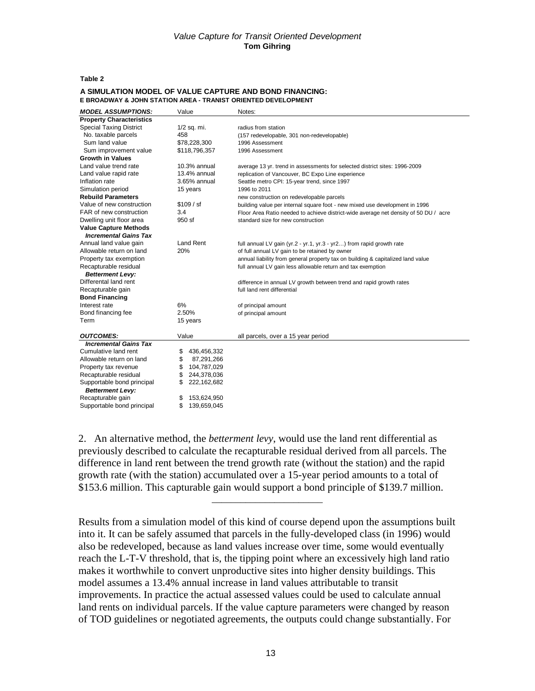#### **Table 2**

| <b>MODEL ASSUMPTIONS:</b>       | Value             | Notes:                                                                               |
|---------------------------------|-------------------|--------------------------------------------------------------------------------------|
| <b>Property Characteristics</b> |                   |                                                                                      |
| <b>Special Taxing District</b>  | $1/2$ sq. mi.     | radius from station                                                                  |
| No. taxable parcels             | 458               | (157 redevelopable, 301 non-redevelopable)                                           |
| Sum land value                  | \$78,228,300      | 1996 Assessment                                                                      |
| Sum improvement value           | \$118,796,357     | 1996 Assessment                                                                      |
| <b>Growth in Values</b>         |                   |                                                                                      |
| Land value trend rate           | $10.3%$ annual    | average 13 yr. trend in assessments for selected district sites: 1996-2009           |
| Land value rapid rate           | $13.4\%$ annual   | replication of Vancouver, BC Expo Line experience                                    |
| Inflation rate                  | 3.65% annual      | Seattle metro CPI: 15-year trend, since 1997                                         |
| Simulation period               | 15 years          | 1996 to 2011                                                                         |
| <b>Rebuild Parameters</b>       |                   | new construction on redevelopable parcels                                            |
| Value of new construction       | \$109 / sf        | building value per internal square foot - new mixed use development in 1996          |
| FAR of new construction         | 3.4               | Floor Area Ratio needed to achieve district-wide average net density of 50 DU / acre |
| Dwelling unit floor area        | 950 sf            | standard size for new construction                                                   |
| <b>Value Capture Methods</b>    |                   |                                                                                      |
| <b>Incremental Gains Tax</b>    |                   |                                                                                      |
| Annual land value gain          | <b>Land Rent</b>  | full annual LV gain (yr.2 - yr.1, yr.3 - yr2) from rapid growth rate                 |
| Allowable return on land        | 20%               | of full annual LV gain to be retained by owner                                       |
| Property tax exemption          |                   | annual liability from general property tax on building & capitalized land value      |
| Recapturable residual           |                   | full annual LV gain less allowable return and tax exemption                          |
| <b>Betterment Levy:</b>         |                   |                                                                                      |
| Differental land rent           |                   | difference in annual LV growth between trend and rapid growth rates                  |
| Recapturable gain               |                   | full land rent differential                                                          |
| <b>Bond Financing</b>           |                   |                                                                                      |
| Interest rate                   | 6%                | of principal amount                                                                  |
| Bond financing fee              | 2.50%             | of principal amount                                                                  |
| Term                            | 15 years          |                                                                                      |
| <b>OUTCOMES:</b>                | Value             |                                                                                      |
| <b>Incremental Gains Tax</b>    |                   | all parcels, over a 15 year period                                                   |
| Cumulative land rent            | \$<br>436,456,332 |                                                                                      |
| Allowable return on land        | \$<br>87,291,266  |                                                                                      |
| Property tax revenue            | \$<br>104,787,029 |                                                                                      |
| Recapturable residual           | \$<br>244,378,036 |                                                                                      |
| Supportable bond principal      | \$<br>222,162,682 |                                                                                      |
| <b>Betterment Levy:</b>         |                   |                                                                                      |
| Recapturable gain               | 153,624,950<br>\$ |                                                                                      |
| Supportable bond principal      | \$<br>139,659,045 |                                                                                      |
|                                 |                   |                                                                                      |

#### **A SIMULATION MODEL OF VALUE CAPTURE AND BOND FINANCING: E BROADWAY & JOHN STATION AREA - TRANIST ORIENTED DEVELOPMENT**

2. An alternative method, the *betterment levy*, would use the land rent differential as previously described to calculate the recapturable residual derived from all parcels. The difference in land rent between the trend growth rate (without the station) and the rapid growth rate (with the station) accumulated over a 15-year period amounts to a total of \$153.6 million. This capturable gain would support a bond principle of \$139.7 million.

\_\_\_\_\_\_\_\_\_\_\_\_\_\_\_\_\_\_\_\_\_\_\_

Results from a simulation model of this kind of course depend upon the assumptions built into it. It can be safely assumed that parcels in the fully-developed class (in 1996) would also be redeveloped, because as land values increase over time, some would eventually reach the L-T-V threshold, that is, the tipping point where an excessively high land ratio makes it worthwhile to convert unproductive sites into higher density buildings. This model assumes a 13.4% annual increase in land values attributable to transit improvements. In practice the actual assessed values could be used to calculate annual land rents on individual parcels. If the value capture parameters were changed by reason of TOD guidelines or negotiated agreements, the outputs could change substantially. For